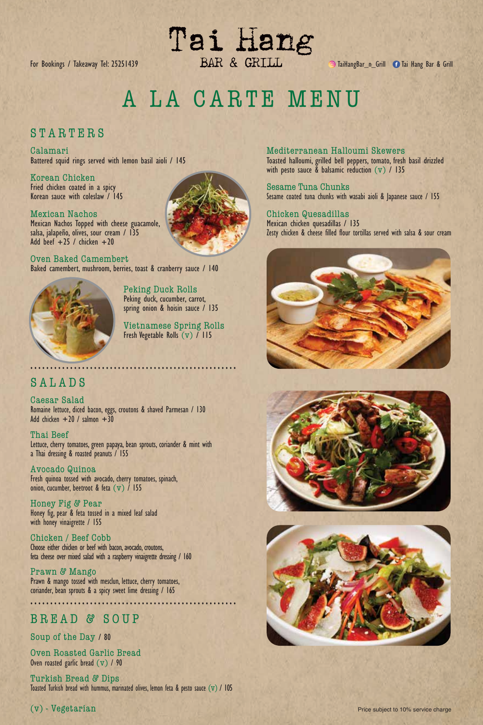Tai Hang For Bookings / Takeaway Tel: 25251439 **Taill BAR & GRILL** TaillangBar\_n\_Grill C Tai Hang Bar & Grill

A LA CARTE MENU

## STARTERS

Calamari Battered squid rings served with lemon basil aioli / 145

Korean Chicken Fried chicken coated in a spicy Korean sauce with coleslaw / 145

## Mexican Nachos

Mexican Nachos Topped with cheese guacamole, salsa, jalapeño, olives, sour cream / 135 Add beef  $+25$  / chicken  $+20$ 

Oven Baked Camembert Baked camembert, mushroom, berries, toast & cranberry sauce / 140



Peking Duck Rolls Peking duck, cucumber, carrot, spring onion & hoisin sauce / 135

Vietnamese Spring Rolls Fresh Vegetable Rolls  $(v)$  / 115

# SALADS

Caesar Salad Romaine lettuce, diced bacon, eggs, croutons & shaved Parmesan / 130 Add chicken  $+20$  / salmon  $+30$ 

Thai Beef Lettuce, cherry tomatoes, green papaya, bean sprouts, coriander & mint with a Thai dressing & roasted peanuts / 155

Avocado Quinoa Fresh quinoa tossed with avocado, cherry tomatoes, spinach, onion, cucumber, beetroot & feta (v) / 155

Honey Fig & Pear Honey fig, pear & feta tossed in a mixed leaf salad with honey vinaigrette / 155

Chicken / Beef Cobb Choose either chicken or beef with bacon, avocado, croutons, feta cheese over mixed salad with a raspberry vinaigrette dressing / 160

Prawn & Mango Prawn & mango tossed with mesclun, lettuce, cherry tomatoes, coriander, bean sprouts & a spicy sweet lime dressing / 165 ....................................................

# BREAD & SOUP

Soup of the Day / 80

Oven Roasted Garlic Bread Oven roasted garlic bread  $(v)$  / 90

Turkish Bread & Dips Toasted Turkish bread with hummus, marinated olives, lemon feta & pesto sauce  $(v)$  / 105



Mediterranean Halloumi Skewers Toasted halloumi, grilled bell peppers, tomato, fresh basil drizzled with pesto sauce & balsamic reduction (v) / 135

Sesame Tuna Chunks Sesame coated tuna chunks with wasabi aioli & Japanese sauce / 155

## Chicken Quesadillas

Mexican chicken quesadillas / 135 Zesty chicken & cheese filled flour tortillas served with salsa & sour cream





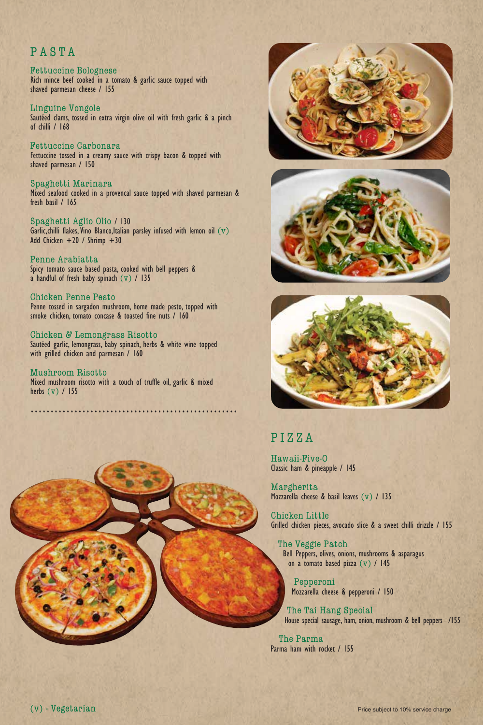# PASTA

#### Fettuccine Bolognese Rich mince beef cooked in a tomato & garlic sauce topped with shaved parmesan cheese / 155

Linguine Vongole Sautéed clams, tossed in extra virgin olive oil with fresh garlic & a pinch of chilli / 168

Fettuccine Carbonara Fettuccine tossed in a creamy sauce with crispy bacon & topped with shaved parmesan / 150

Spaghetti Marinara Mixed seafood cooked in a provencal sauce topped with shaved parmesan & fresh basil / 165

Spaghetti Aglio Olio / 130 Garlic, chilli flakes, Vino Blanco, Italian parsley infused with lemon oil  $(v)$ Add Chicken +20 / Shrimp +30

Penne Arabiatta Spicy tomato sauce based pasta, cooked with bell peppers & a handful of fresh baby spinach (v) / 135

Chicken Penne Pesto Penne tossed in sargadon mushroom, home made pesto, topped with smoke chicken, tomato concase & toasted fine nuts / 160

Chicken & Lemongrass Risotto Sautéed garlic, lemongrass, baby spinach, herbs & white wine topped with grilled chicken and parmesan / 160

Mushroom Risotto Mixed mushroom risotto with a touch of truffle oil, garlic & mixed herbs (v) / 155

....................................................







# PIZZA

Hawaii-Five-O Classic ham & pineapple / 145

Margherita Mozzarella cheese & basil leaves (v) / 135

Chicken Little Grilled chicken pieces, avocado slice & a sweet chilli drizzle / 155

The Veggie Patch Bell Peppers, olives, onions, mushrooms & asparagus on a tomato based pizza (v) / 145

Pepperoni Mozzarella cheese & pepperoni / 150

The Tai Hang Special House special sausage, ham, onion, mushroom & bell peppers /155

The Parma Parma ham with rocket / 155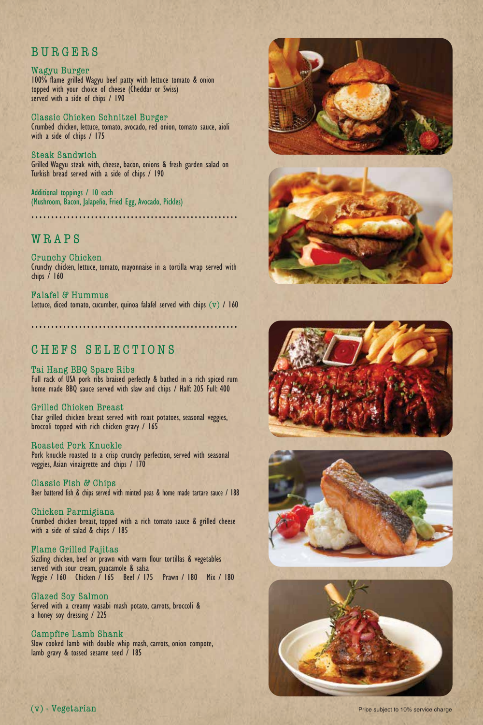## BURGERS

#### Wagyu Burger 100% flame grilled Wagyu beef patty with lettuce tomato & onion topped with your choice of cheese (Cheddar or Swiss) served with a side of chips / 190

Classic Chicken Schnitzel Burger Crumbed chicken, lettuce, tomato, avocado, red onion, tomato sauce, aioli with a side of chips / 175

Steak Sandwich Grilled Wagyu steak with, cheese, bacon, onions & fresh garden salad on Turkish bread served with a side of chips / 190

Additional toppings / 10 each (Mushroom, Bacon, Jalapeño, Fried Egg, Avocado, Pickles)

WRAPS

Crunchy Chicken Crunchy chicken, lettuce, tomato, mayonnaise in a tortilla wrap served with chips / 160

....................................................

Falafel & Hummus Lettuce, diced tomato, cucumber, quinoa falafel served with chips  $(v)$  / 160

....................................................

# CHEFS SELECTIONS

Tai Hang BBQ Spare Ribs Full rack of USA pork ribs braised perfectly & bathed in a rich spiced rum home made BBQ sauce served with slaw and chips / Half: 205 Full: 400

Grilled Chicken Breast Char grilled chicken breast served with roast potatoes, seasonal veggies, broccoli topped with rich chicken gravy / 165

Roasted Pork Knuckle Pork knuckle roasted to a crisp crunchy perfection, served with seasonal veggies, Asian vinaigrette and chips / 170

Classic Fish & Chips Beer battered fish & chips served with minted peas & home made tartare sauce / 188

Chicken Parmigiana Crumbed chicken breast, topped with a rich tomato sauce & grilled cheese with a side of salad & chips / 185

Flame Grilled Fajitas Sizzling chicken, beef or prawn with warm flour tortillas & vegetables served with sour cream, guacamole & salsa Veggie / 160 Chicken / 165 Beef / 175 Prawn / 180 Mix / 180

Glazed Soy Salmon Served with a creamy wasabi mash potato, carrots, broccoli & a honey soy dressing / 225

Campfire Lamb Shank Slow cooked lamb with double whip mash, carrots, onion compote, lamb gravy & tossed sesame seed / 185